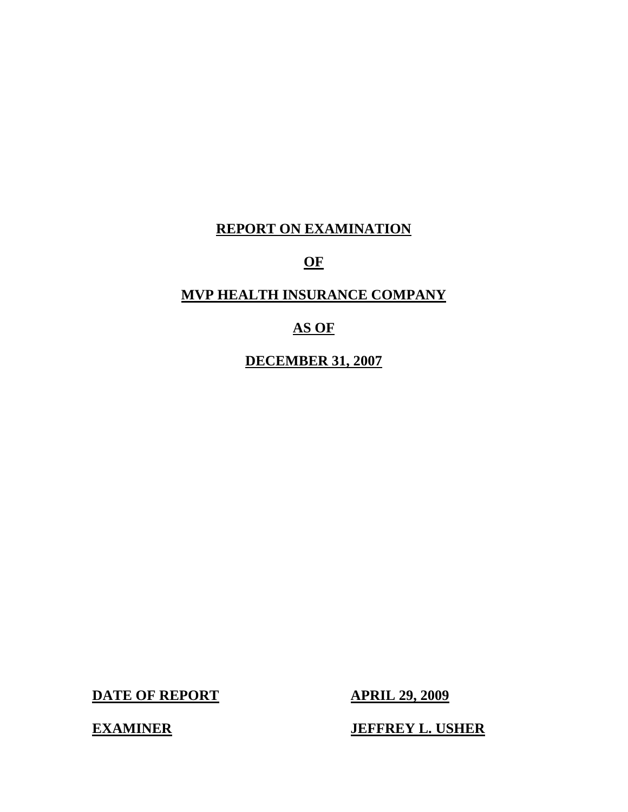# **REPORT ON EXAMINATION**

# **OF**

# **MVP HEALTH INSURANCE COMPANY**

# **AS OF**

**DECEMBER 31, 2007** 

**DATE OF REPORT APRIL 29, 2009** 

**JEFFREY L. USHER** 

**EXAMINER**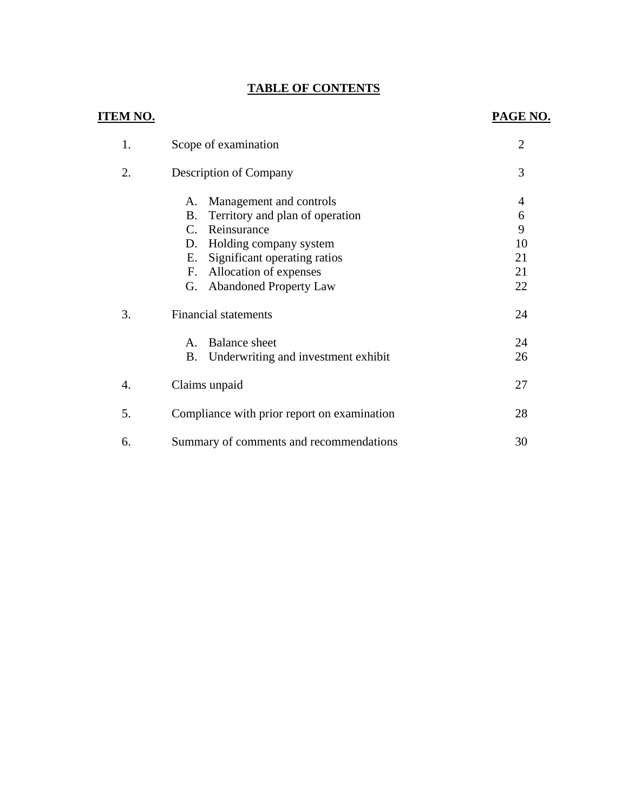# **TABLE OF CONTENTS**

| <u>ITEM NO.</u> |                                                                                                                                                                                                                                                          | PAGE NO.                                         |
|-----------------|----------------------------------------------------------------------------------------------------------------------------------------------------------------------------------------------------------------------------------------------------------|--------------------------------------------------|
| 1.              | Scope of examination                                                                                                                                                                                                                                     | $\overline{2}$                                   |
| 2.              | <b>Description of Company</b>                                                                                                                                                                                                                            | 3                                                |
|                 | Management and controls<br>A.<br><b>B.</b><br>Territory and plan of operation<br>Reinsurance<br>$C_{\cdot}$<br>Holding company system<br>D.<br>Significant operating ratios<br>Ε.<br>Allocation of expenses<br>F.<br><b>Abandoned Property Law</b><br>G. | $\overline{4}$<br>6<br>9<br>10<br>21<br>21<br>22 |
| 3.              | <b>Financial statements</b>                                                                                                                                                                                                                              | 24                                               |
|                 | <b>Balance</b> sheet<br>$\mathsf{A}$ .<br><b>B.</b><br>Underwriting and investment exhibit                                                                                                                                                               | 24<br>26                                         |
| 4.              | Claims unpaid                                                                                                                                                                                                                                            | 27                                               |
| 5.              | Compliance with prior report on examination                                                                                                                                                                                                              | 28                                               |
| 6.              | Summary of comments and recommendations                                                                                                                                                                                                                  | 30                                               |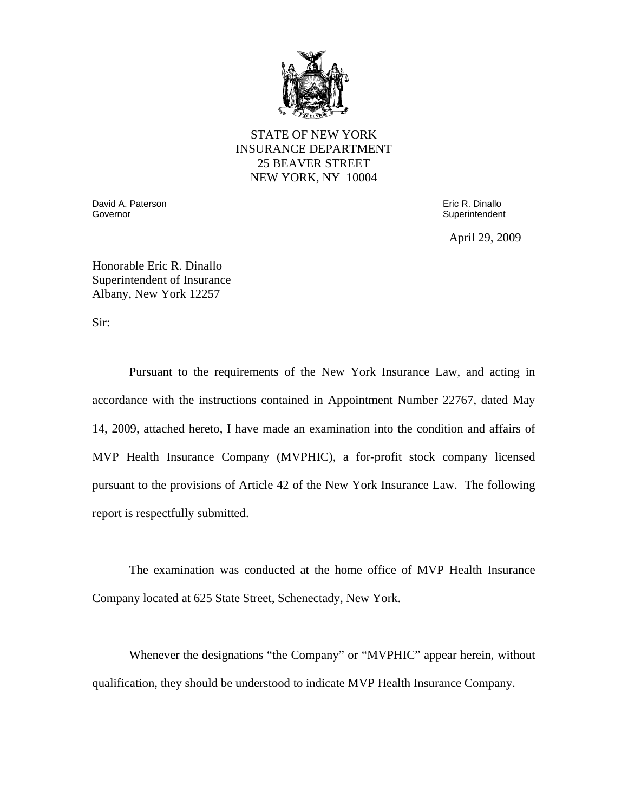

STATE OF NEW YORK INSURANCE DEPARTMENT 25 BEAVER STREET NEW YORK, NY 10004

Governor David A. Paterson Governor Eric R. Dinallo

**Superintendent** 

April 29, 2009

Honorable Eric R. Dinallo Superintendent of Insurance Albany, New York 12257

Sir:

Pursuant to the requirements of the New York Insurance Law, and acting in accordance with the instructions contained in Appointment Number 22767, dated May 14, 2009, attached hereto, I have made an examination into the condition and affairs of MVP Health Insurance Company (MVPHIC), a for-profit stock company licensed pursuant to the provisions of Article 42 of the New York Insurance Law. The following report is respectfully submitted.

The examination was conducted at the home office of MVP Health Insurance Company located at 625 State Street, Schenectady, New York.

Whenever the designations "the Company" or "MVPHIC" appear herein, without qualification, they should be understood to indicate MVP Health Insurance Company.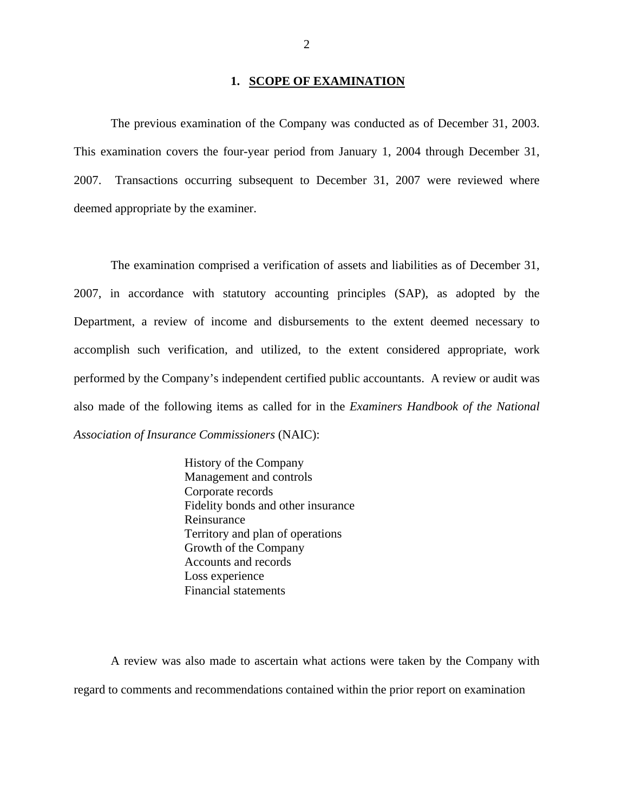#### **1. SCOPE OF EXAMINATION**

The previous examination of the Company was conducted as of December 31, 2003. This examination covers the four-year period from January 1, 2004 through December 31, 2007. Transactions occurring subsequent to December 31, 2007 were reviewed where deemed appropriate by the examiner.

The examination comprised a verification of assets and liabilities as of December 31, 2007, in accordance with statutory accounting principles (SAP), as adopted by the Department, a review of income and disbursements to the extent deemed necessary to accomplish such verification, and utilized, to the extent considered appropriate, work performed by the Company's independent certified public accountants. A review or audit was also made of the following items as called for in the *Examiners Handbook of the National Association of Insurance Commissioners* (NAIC):

> History of the Company Management and controls Corporate records Fidelity bonds and other insurance Reinsurance Territory and plan of operations Growth of the Company Accounts and records Loss experience Financial statements

A review was also made to ascertain what actions were taken by the Company with regard to comments and recommendations contained within the prior report on examination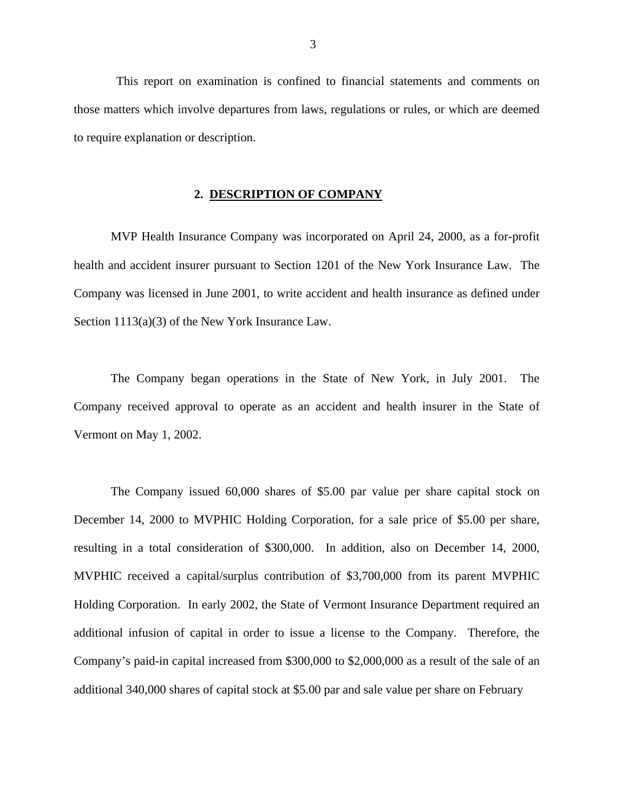This report on examination is confined to financial statements and comments on those matters which involve departures from laws, regulations or rules, or which are deemed to require explanation or description.

# **2. DESCRIPTION OF COMPANY**

MVP Health Insurance Company was incorporated on April 24, 2000, as a for-profit health and accident insurer pursuant to Section 1201 of the New York Insurance Law. The Company was licensed in June 2001, to write accident and health insurance as defined under Section 1113(a)(3) of the New York Insurance Law.

The Company began operations in the State of New York, in July 2001. The Company received approval to operate as an accident and health insurer in the State of Vermont on May 1, 2002.

The Company issued 60,000 shares of \$5.00 par value per share capital stock on December 14, 2000 to MVPHIC Holding Corporation, for a sale price of \$5.00 per share, resulting in a total consideration of \$300,000. In addition, also on December 14, 2000, MVPHIC received a capital/surplus contribution of \$3,700,000 from its parent MVPHIC Holding Corporation. In early 2002, the State of Vermont Insurance Department required an additional infusion of capital in order to issue a license to the Company. Therefore, the Company's paid-in capital increased from \$300,000 to \$2,000,000 as a result of the sale of an additional 340,000 shares of capital stock at \$5.00 par and sale value per share on February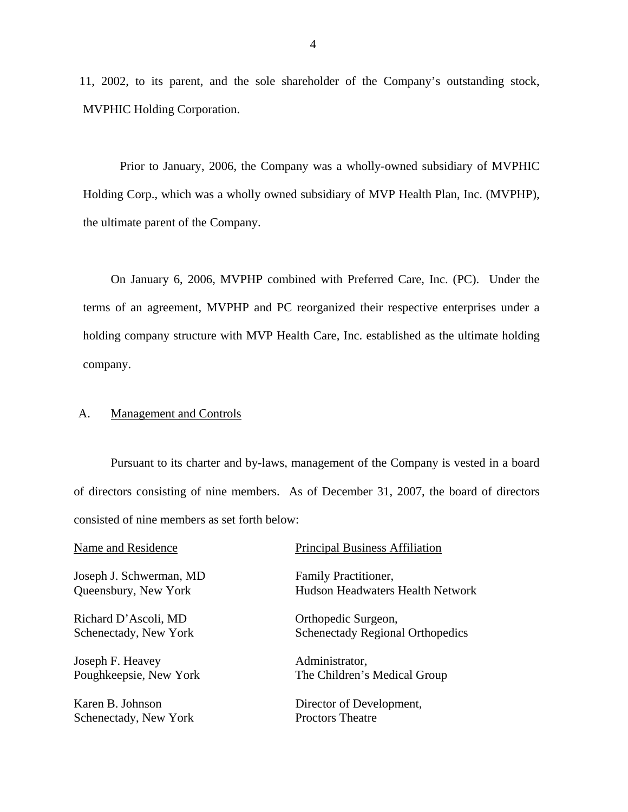<span id="page-5-0"></span>11, 2002, to its parent, and the sole shareholder of the Company's outstanding stock, MVPHIC Holding Corporation.

Prior to January, 2006, the Company was a wholly-owned subsidiary of MVPHIC Holding Corp., which was a wholly owned subsidiary of MVP Health Plan, Inc. (MVPHP), the ultimate parent of the Company.

On January 6, 2006, MVPHP combined with Preferred Care, Inc. (PC). Under the terms of an agreement, MVPHP and PC reorganized their respective enterprises under a holding company structure with MVP Health Care, Inc. established as the ultimate holding company.

# A. Management and Controls

Pursuant to its charter and by-laws, management of the Company is vested in a board of directors consisting of nine members. As of December 31, 2007, the board of directors consisted of nine members as set forth below:

| Name and Residence      | <b>Principal Business Affiliation</b>   |
|-------------------------|-----------------------------------------|
| Joseph J. Schwerman, MD | Family Practitioner,                    |
| Queensbury, New York    | <b>Hudson Headwaters Health Network</b> |
| Richard D'Ascoli, MD    | Orthopedic Surgeon,                     |
| Schenectady, New York   | <b>Schenectady Regional Orthopedics</b> |
| Joseph F. Heavey        | Administrator,                          |
| Poughkeepsie, New York  | The Children's Medical Group            |
| Karen B. Johnson        | Director of Development,                |

Schenectady, New York Proctors Theatre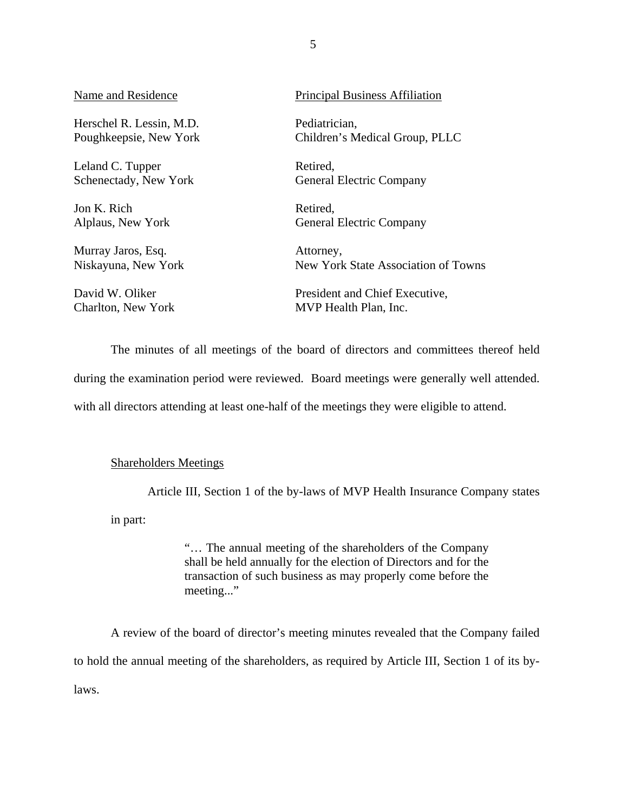Herschel R. Lessin, M.D. Pediatrician,

Leland C. Tupper Retired,

Jon K. Rich Retired,

Murray Jaros, Esq. Attorney,

David W. Oliker

# Name and Residence Principal Business Affiliation

Poughkeepsie, New York Children's Medical Group, PLLC

Schenectady, New York General Electric Company

Alplaus, New York General Electric Company

Niskayuna, New York New York State Association of Towns

President and Chief Executive, Charlton, New York MVP Health Plan, Inc.

The minutes of all meetings of the board of directors and committees thereof held

during the examination period were reviewed. Board meetings were generally well attended.

with all directors attending at least one-half of the meetings they were eligible to attend.

# Shareholders Meetings

Article III, Section 1 of the by-laws of MVP Health Insurance Company states

in part:

"… The annual meeting of the shareholders of the Company shall be held annually for the election of Directors and for the transaction of such business as may properly come before the meeting..."

A review of the board of director's meeting minutes revealed that the Company failed to hold the annual meeting of the shareholders, as required by Article III, Section 1 of its bylaws.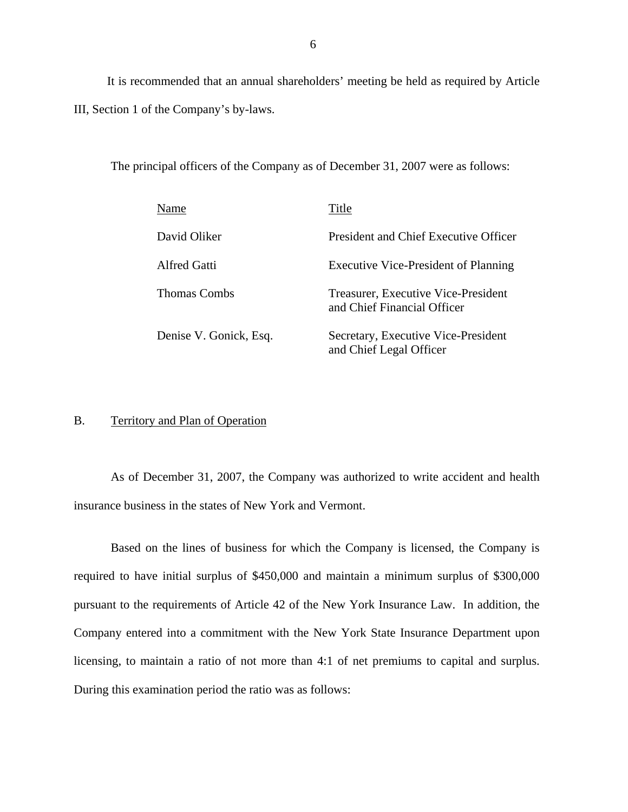<span id="page-7-0"></span>It is recommended that an annual shareholders' meeting be held as required by Article III, Section 1 of the Company's by-laws.

The principal officers of the Company as of December 31, 2007 were as follows:

| Name                   | Title                                                              |
|------------------------|--------------------------------------------------------------------|
| David Oliker           | President and Chief Executive Officer                              |
| <b>Alfred Gatti</b>    | <b>Executive Vice-President of Planning</b>                        |
| <b>Thomas Combs</b>    | Treasurer, Executive Vice-President<br>and Chief Financial Officer |
| Denise V. Gonick, Esq. | Secretary, Executive Vice-President<br>and Chief Legal Officer     |

### B. Territory and Plan of Operation

As of December 31, 2007, the Company was authorized to write accident and health insurance business in the states of New York and Vermont.

Based on the lines of business for which the Company is licensed, the Company is required to have initial surplus of \$450,000 and maintain a minimum surplus of \$300,000 pursuant to the requirements of Article 42 of the New York Insurance Law. In addition, the Company entered into a commitment with the New York State Insurance Department upon licensing, to maintain a ratio of not more than 4:1 of net premiums to capital and surplus. During this examination period the ratio was as follows: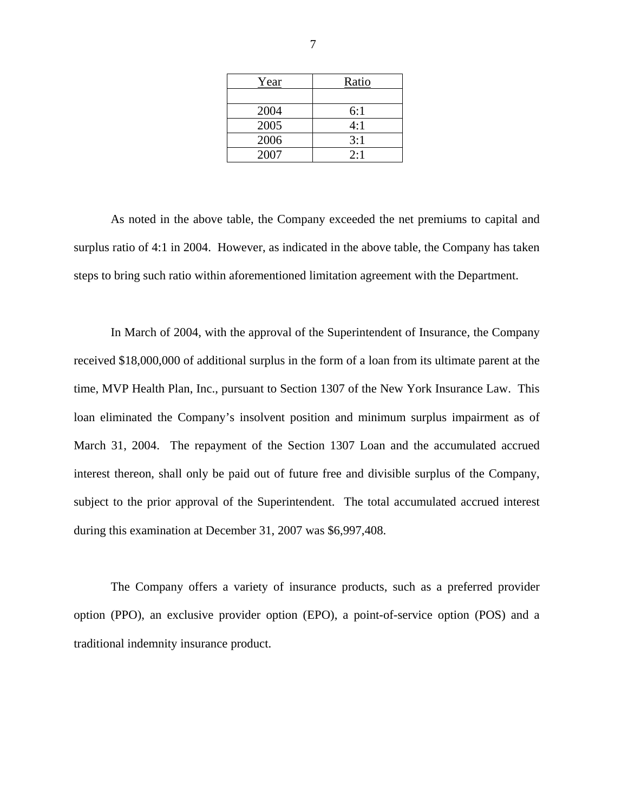| Year | Ratio |
|------|-------|
|      |       |
| 2004 | 6:1   |
| 2005 | 4:1   |
| 2006 | 3:1   |
| 2007 | 2:1   |

As noted in the above table, the Company exceeded the net premiums to capital and surplus ratio of 4:1 in 2004. However, as indicated in the above table, the Company has taken steps to bring such ratio within aforementioned limitation agreement with the Department.

In March of 2004, with the approval of the Superintendent of Insurance, the Company received \$18,000,000 of additional surplus in the form of a loan from its ultimate parent at the time, MVP Health Plan, Inc., pursuant to Section 1307 of the New York Insurance Law. This loan eliminated the Company's insolvent position and minimum surplus impairment as of March 31, 2004. The repayment of the Section 1307 Loan and the accumulated accrued interest thereon, shall only be paid out of future free and divisible surplus of the Company, subject to the prior approval of the Superintendent. The total accumulated accrued interest during this examination at December 31, 2007 was \$6,997,408.

The Company offers a variety of insurance products, such as a preferred provider option (PPO), an exclusive provider option (EPO), a point-of-service option (POS) and a traditional indemnity insurance product.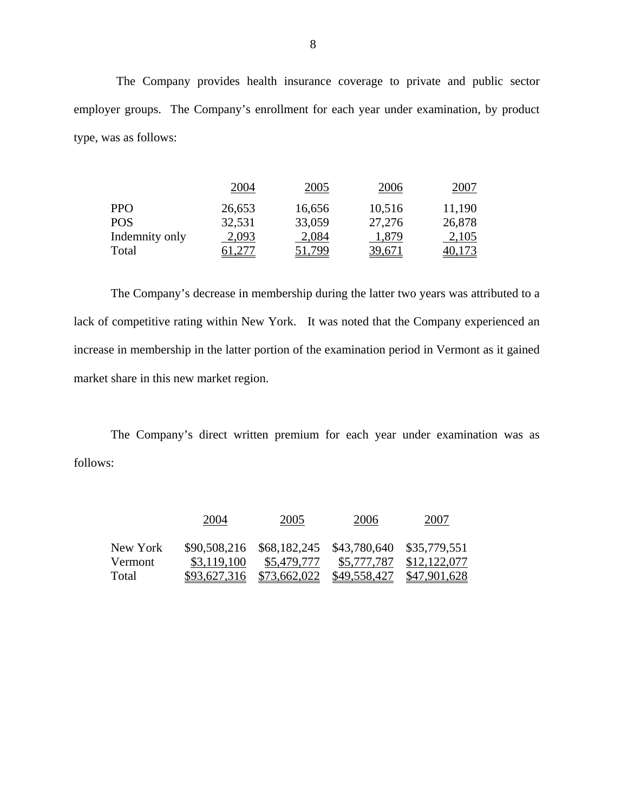The Company provides health insurance coverage to private and public sector employer groups. The Company's enrollment for each year under examination, by product type, was as follows:

|                | 2004   | 2005   | 2006   | 2007   |
|----------------|--------|--------|--------|--------|
| <b>PPO</b>     | 26,653 | 16,656 | 10,516 | 11,190 |
| <b>POS</b>     | 32,531 | 33,059 | 27,276 | 26,878 |
| Indemnity only | 2,093  | 2,084  | 1,879  | 2,105  |
| Total          |        | 51,799 | 39,671 |        |

The Company's decrease in membership during the latter two years was attributed to a lack of competitive rating within New York. It was noted that the Company experienced an increase in membership in the latter portion of the examination period in Vermont as it gained market share in this new market region.

The Company's direct written premium for each year under examination was as follows:

|                     | 2004         | 2005                                                               | 2006                | 2007                |
|---------------------|--------------|--------------------------------------------------------------------|---------------------|---------------------|
| New York<br>Vermont | \$3,119,100  | \$90,508,216 \$68,182,245 \$43,780,640 \$35,779,551<br>\$5,479,777 | \$5,777,787         | \$12,122,077        |
| Total               | \$93,627,316 | \$73,662,022                                                       | <u>\$49,558,427</u> | <u>\$47,901,628</u> |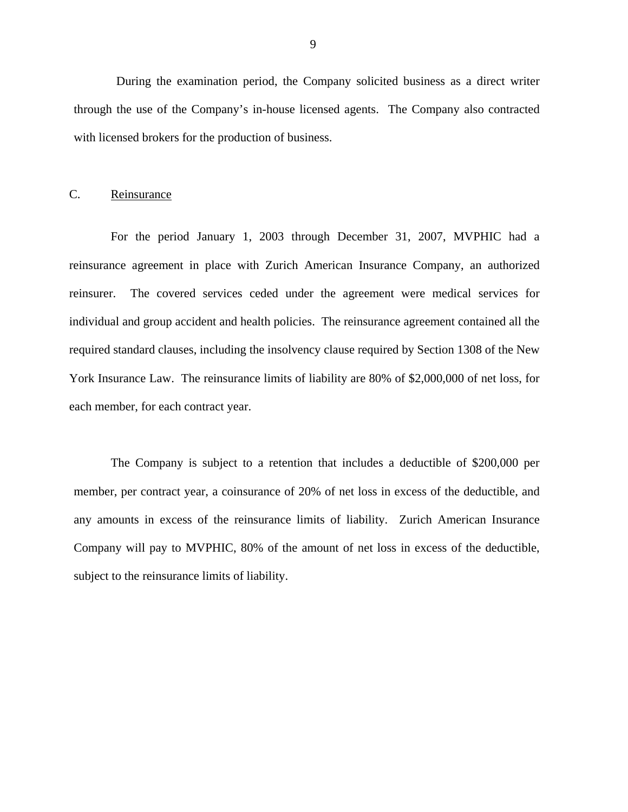<span id="page-10-0"></span>During the examination period, the Company solicited business as a direct writer through the use of the Company's in-house licensed agents. The Company also contracted with licensed brokers for the production of business.

# C. Reinsurance

For the period January 1, 2003 through December 31, 2007, MVPHIC had a reinsurance agreement in place with Zurich American Insurance Company, an authorized reinsurer. The covered services ceded under the agreement were medical services for individual and group accident and health policies. The reinsurance agreement contained all the required standard clauses, including the insolvency clause required by Section 1308 of the New York Insurance Law. The reinsurance limits of liability are 80% of \$2,000,000 of net loss, for each member, for each contract year.

The Company is subject to a retention that includes a deductible of \$200,000 per member, per contract year, a coinsurance of 20% of net loss in excess of the deductible, and any amounts in excess of the reinsurance limits of liability. Zurich American Insurance Company will pay to MVPHIC, 80% of the amount of net loss in excess of the deductible, subject to the reinsurance limits of liability.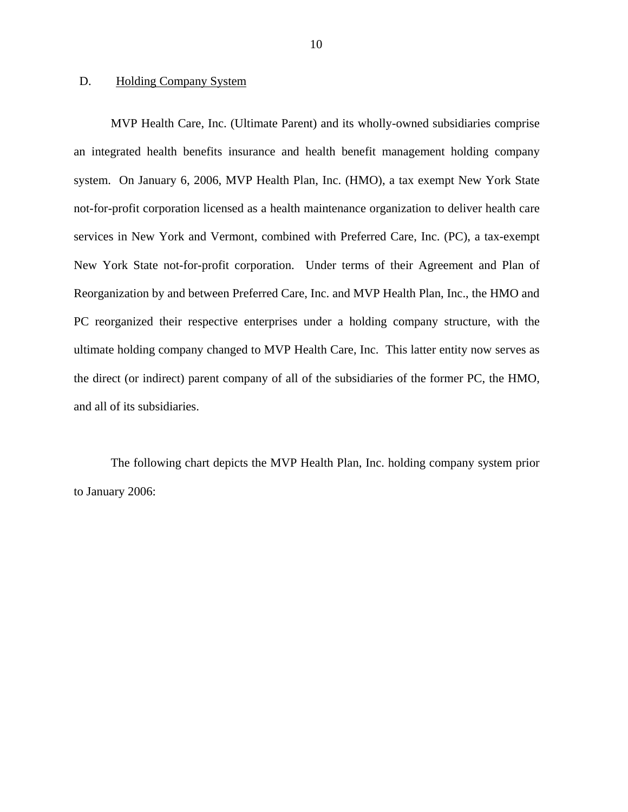# **Holding Company System**

<span id="page-11-0"></span>D. Holding Company System<br>MVP Health Care, Inc. (Ultimate Parent) and its wholly-owned subsidiaries comprise an integrated health benefits insurance and health benefit management holding company system. On January 6, 2006, MVP Health Plan, Inc. (HMO), a tax exempt New York State not-for-profit corporation licensed as a health maintenance organization to deliver health care services in New York and Vermont, combined with Preferred Care, Inc. (PC), a tax-exempt New York State not-for-profit corporation. Under terms of their Agreement and Plan of Reorganization by and between Preferred Care, Inc. and MVP Health Plan, Inc., the HMO and PC reorganized their respective enterprises under a holding company structure, with the ultimate holding company changed to MVP Health Care, Inc. This latter entity now serves as the direct (or indirect) parent company of all of the subsidiaries of the former PC, the HMO, and all of its subsidiaries.

The following chart depicts the MVP Health Plan, Inc. holding company system prior to January 2006: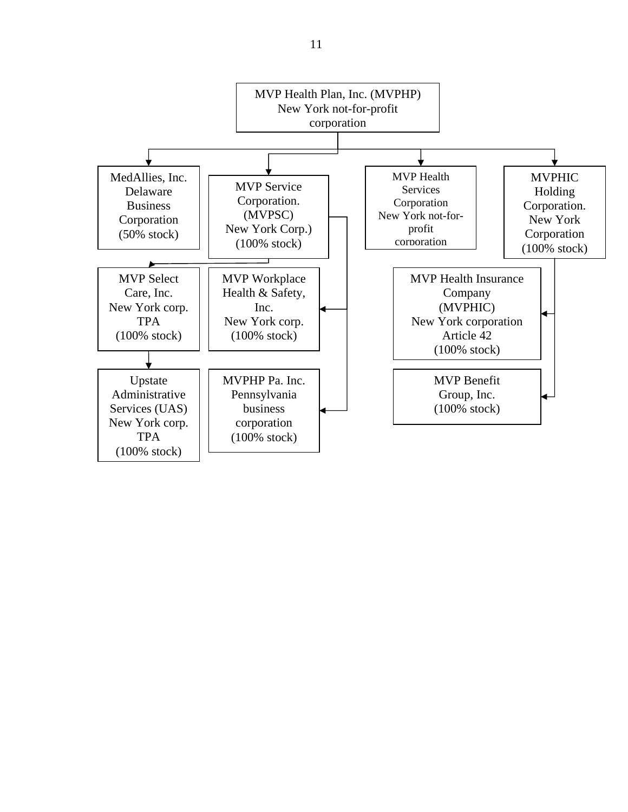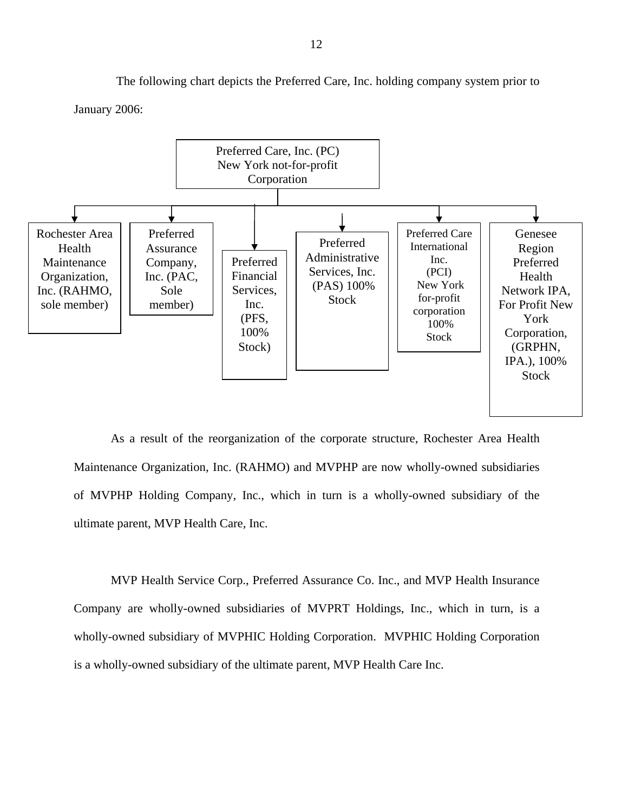The following chart depicts the Preferred Care, Inc. holding company system prior to

January 2006:



As a result of the reorganization of the corporate structure, Rochester Area Health Maintenance Organization, Inc. (RAHMO) and MVPHP are now wholly-owned subsidiaries of MVPHP Holding Company, Inc., which in turn is a wholly-owned subsidiary of the ultimate parent, MVP Health Care, Inc.

MVP Health Service Corp., Preferred Assurance Co. Inc., and MVP Health Insurance Company are wholly-owned subsidiaries of MVPRT Holdings, Inc., which in turn, is a wholly-owned subsidiary of MVPHIC Holding Corporation. MVPHIC Holding Corporation is a wholly-owned subsidiary of the ultimate parent, MVP Health Care Inc.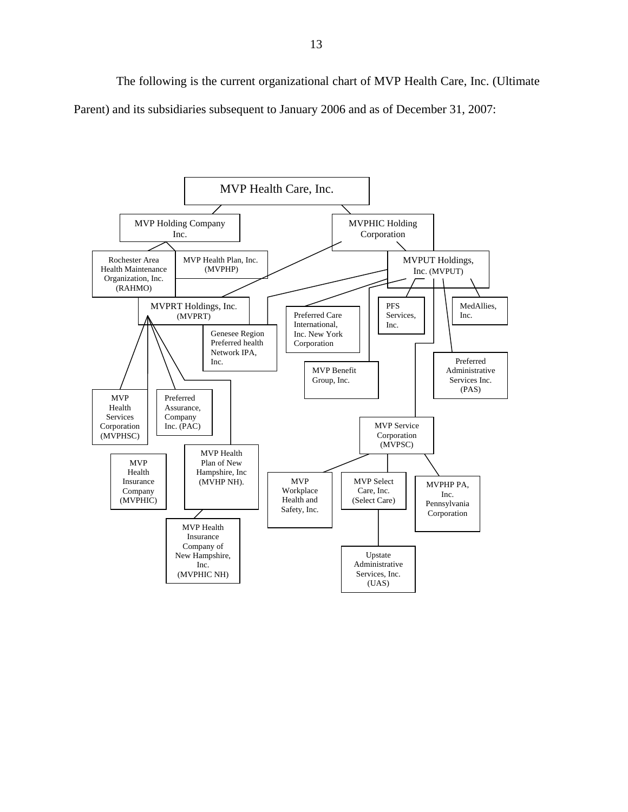The following is the current organizational chart of MVP Health Care, Inc. (Ultimate Parent) and its subsidiaries subsequent to January 2006 and as of December 31, 2007:

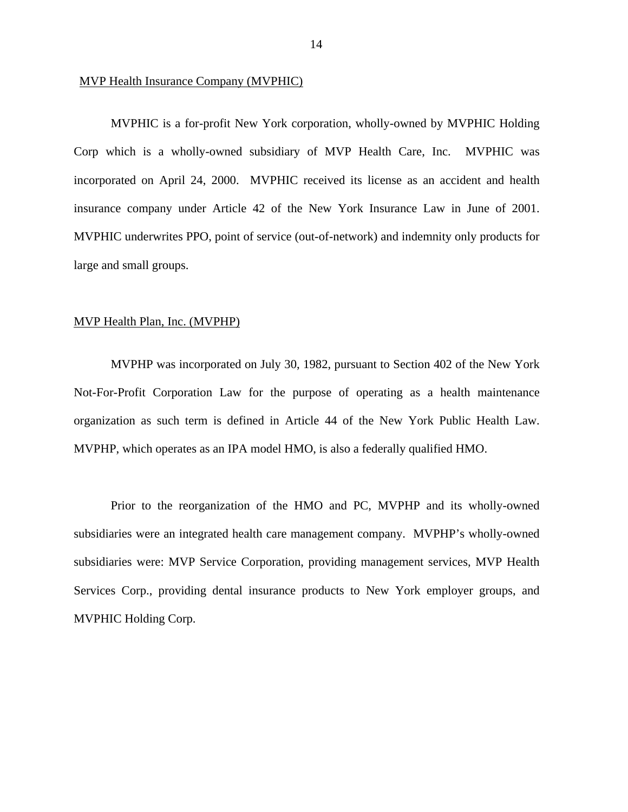#### MVP Health Insurance Company (MVPHIC)

MVPHIC is a for-profit New York corporation, wholly-owned by MVPHIC Holding Corp which is a wholly-owned subsidiary of MVP Health Care, Inc. MVPHIC was incorporated on April 24, 2000. MVPHIC received its license as an accident and health insurance company under Article 42 of the New York Insurance Law in June of 2001. MVPHIC underwrites PPO, point of service (out-of-network) and indemnity only products for large and small groups.

#### MVP Health Plan, Inc. (MVPHP)

 organization as such term is defined in Article 44 of the New York Public Health Law. MVPHP, which operates as an IPA model HMO, is also a federally qualified HMO. MVPHP was incorporated on July 30, 1982, pursuant to Section 402 of the New York Not-For-Profit Corporation Law for the purpose of operating as a health maintenance

Prior to the reorganization of the HMO and PC, MVPHP and its wholly-owned subsidiaries were an integrated health care management company. MVPHP's wholly-owned subsidiaries were: MVP Service Corporation, providing management services, MVP Health Services Corp., providing dental insurance products to New York employer groups, and MVPHIC Holding Corp.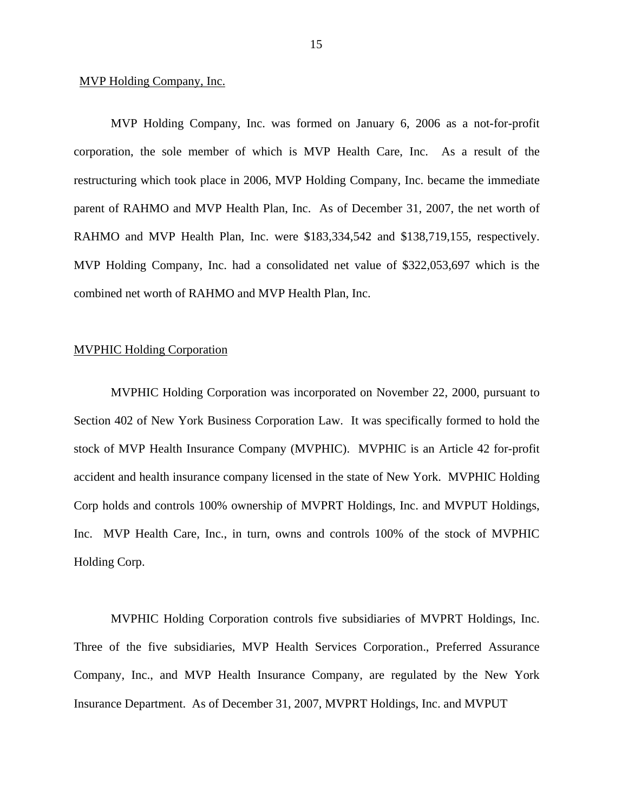#### MVP Holding Company, Inc.

MVP Holding Company, Inc. was formed on January 6, 2006 as a not-for-profit corporation, the sole member of which is MVP Health Care, Inc. As a result of the restructuring which took place in 2006, MVP Holding Company, Inc. became the immediate parent of RAHMO and MVP Health Plan, Inc. As of December 31, 2007, the net worth of RAHMO and MVP Health Plan, Inc. were \$183,334,542 and \$138,719,155, respectively. MVP Holding Company, Inc. had a consolidated net value of \$322,053,697 which is the combined net worth of RAHMO and MVP Health Plan, Inc.

# MVPHIC Holding Corporation

MVPHIC Holding Corporation was incorporated on November 22, 2000, pursuant to Section 402 of New York Business Corporation Law. It was specifically formed to hold the stock of MVP Health Insurance Company (MVPHIC). MVPHIC is an Article 42 for-profit accident and health insurance company licensed in the state of New York. MVPHIC Holding Corp holds and controls 100% ownership of MVPRT Holdings, Inc. and MVPUT Holdings, Inc. MVP Health Care, Inc., in turn, owns and controls 100% of the stock of MVPHIC Holding Corp.

MVPHIC Holding Corporation controls five subsidiaries of MVPRT Holdings, Inc. Three of the five subsidiaries, MVP Health Services Corporation., Preferred Assurance Company, Inc., and MVP Health Insurance Company, are regulated by the New York Insurance Department. As of December 31, 2007, MVPRT Holdings, Inc. and MVPUT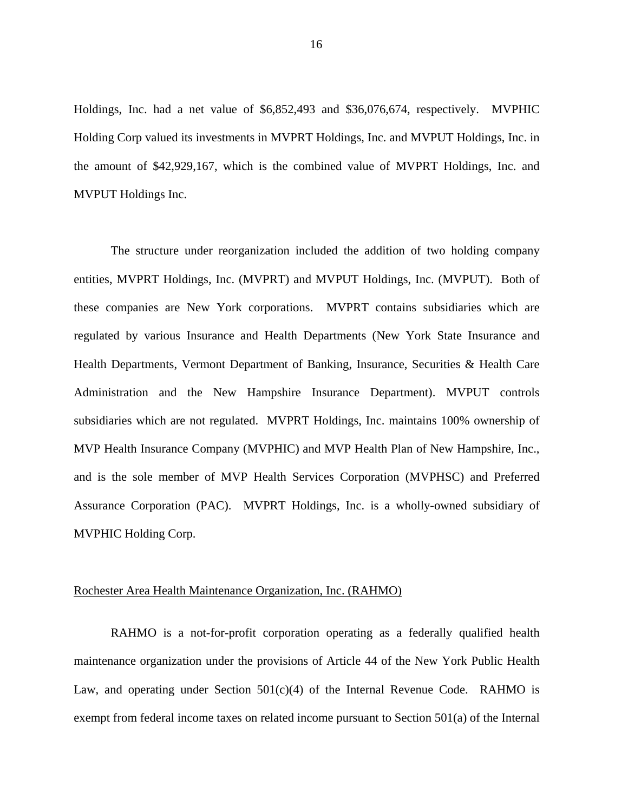Holdings, Inc. had a net value of \$6,852,493 and \$36,076,674, respectively. MVPHIC Holding Corp valued its investments in MVPRT Holdings, Inc. and MVPUT Holdings, Inc. in the amount of \$42,929,167, which is the combined value of MVPRT Holdings, Inc. and MVPUT Holdings Inc.

The structure under reorganization included the addition of two holding company entities, MVPRT Holdings, Inc. (MVPRT) and MVPUT Holdings, Inc. (MVPUT). Both of these companies are New York corporations. MVPRT contains subsidiaries which are regulated by various Insurance and Health Departments (New York State Insurance and Health Departments, Vermont Department of Banking, Insurance, Securities & Health Care Administration and the New Hampshire Insurance Department). MVPUT controls subsidiaries which are not regulated. MVPRT Holdings, Inc. maintains 100% ownership of MVP Health Insurance Company (MVPHIC) and MVP Health Plan of New Hampshire, Inc., and is the sole member of MVP Health Services Corporation (MVPHSC) and Preferred Assurance Corporation (PAC). MVPRT Holdings, Inc. is a wholly-owned subsidiary of MVPHIC Holding Corp.

# Rochester Area Health Maintenance Organization, Inc. (RAHMO)

RAHMO is a not-for-profit corporation operating as a federally qualified health maintenance organization under the provisions of Article 44 of the New York Public Health Law, and operating under Section  $501(c)(4)$  of the Internal Revenue Code. RAHMO is exempt from federal income taxes on related income pursuant to Section 501(a) of the Internal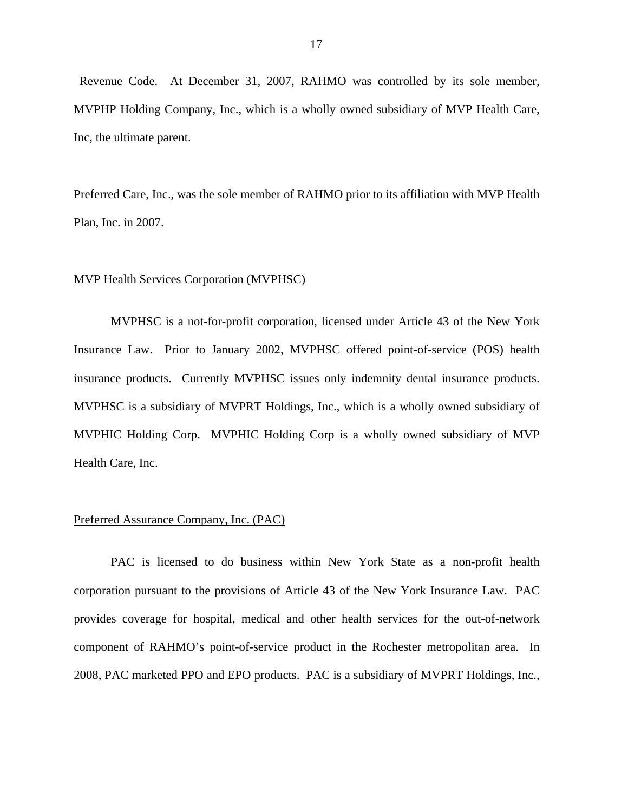Inc, the ultimate parent. Revenue Code. At December 31, 2007, RAHMO was controlled by its sole member, MVPHP Holding Company, Inc., which is a wholly owned subsidiary of MVP Health Care,

Preferred Care, Inc., was the sole member of RAHMO prior to its affiliation with MVP Health Plan, Inc. in 2007.

#### MVP Health Services Corporation (MVPHSC)

MVPHSC is a not-for-profit corporation, licensed under Article 43 of the New York Insurance Law. Prior to January 2002, MVPHSC offered point-of-service (POS) health insurance products. Currently MVPHSC issues only indemnity dental insurance products. MVPHSC is a subsidiary of MVPRT Holdings, Inc., which is a wholly owned subsidiary of MVPHIC Holding Corp. MVPHIC Holding Corp is a wholly owned subsidiary of MVP Health Care, Inc.

# Preferred Assurance Company, Inc. (PAC)

PAC is licensed to do business within New York State as a non-profit health corporation pursuant to the provisions of Article 43 of the New York Insurance Law. PAC provides coverage for hospital, medical and other health services for the out-of-network component of RAHMO's point-of-service product in the Rochester metropolitan area. In 2008, PAC marketed PPO and EPO products. PAC is a subsidiary of MVPRT Holdings, Inc.,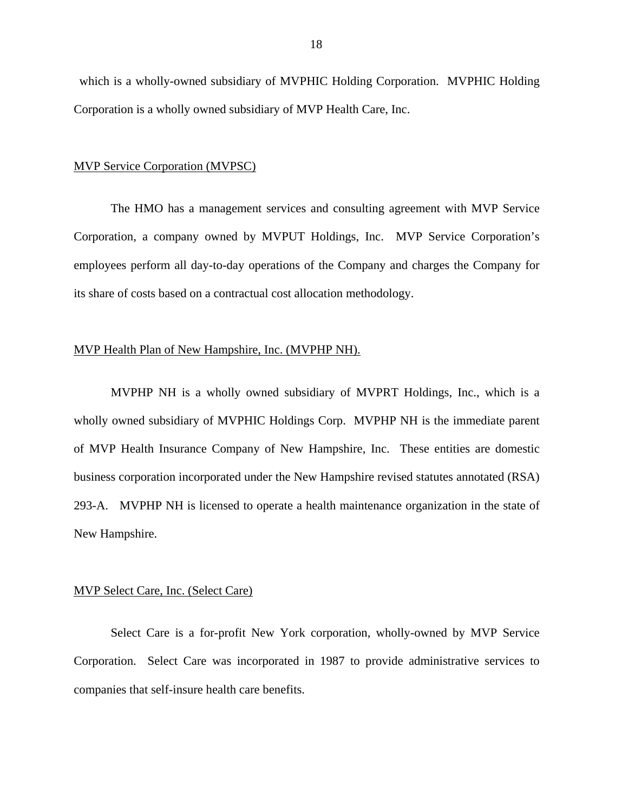which is a wholly-owned subsidiary of MVPHIC Holding Corporation. MVPHIC Holding Corporation is a wholly owned subsidiary of MVP Health Care, Inc.

# MVP Service Corporation (MVPSC)

The HMO has a management services and consulting agreement with MVP Service Corporation, a company owned by MVPUT Holdings, Inc. MVP Service Corporation's employees perform all day-to-day operations of the Company and charges the Company for its share of costs based on a contractual cost allocation methodology.

# MVP Health Plan of New Hampshire, Inc. (MVPHP NH).

MVPHP NH is a wholly owned subsidiary of MVPRT Holdings, Inc., which is a wholly owned subsidiary of MVPHIC Holdings Corp. MVPHP NH is the immediate parent of MVP Health Insurance Company of New Hampshire, Inc. These entities are domestic business corporation incorporated under the New Hampshire revised statutes annotated (RSA) 293-A. MVPHP NH is licensed to operate a health maintenance organization in the state of New Hampshire.

#### **MVP Select Care, Inc. (Select Care)**

Select Care is a for-profit New York corporation, wholly-owned by MVP Service Corporation. Select Care was incorporated in 1987 to provide administrative services to companies that self-insure health care benefits.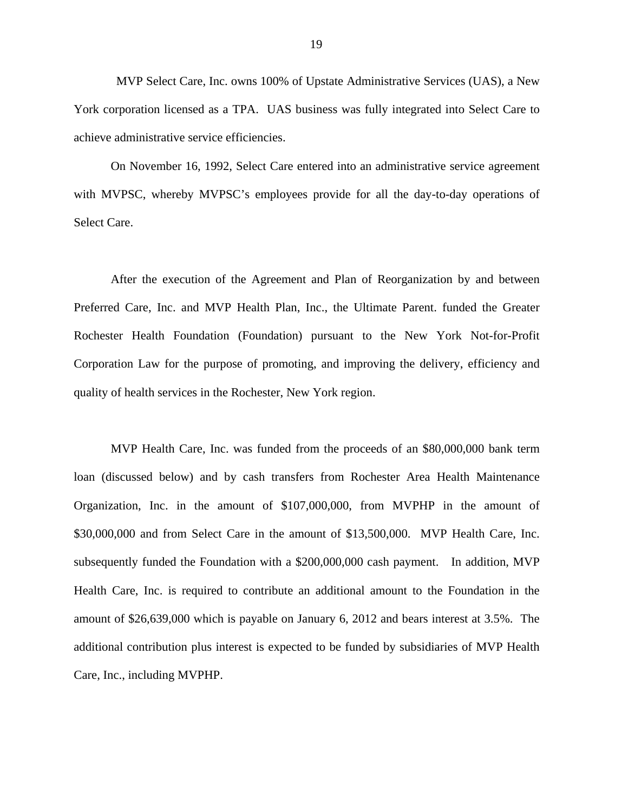MVP Select Care, Inc. owns 100% of Upstate Administrative Services (UAS), a New York corporation licensed as a TPA. UAS business was fully integrated into Select Care to achieve administrative service efficiencies.

On November 16, 1992, Select Care entered into an administrative service agreement with MVPSC, whereby MVPSC's employees provide for all the day-to-day operations of Select Care.

After the execution of the Agreement and Plan of Reorganization by and between Preferred Care, Inc. and MVP Health Plan, Inc., the Ultimate Parent. funded the Greater Rochester Health Foundation (Foundation) pursuant to the New York Not-for-Profit Corporation Law for the purpose of promoting, and improving the delivery, efficiency and quality of health services in the Rochester, New York region.

MVP Health Care, Inc. was funded from the proceeds of an \$80,000,000 bank term loan (discussed below) and by cash transfers from Rochester Area Health Maintenance Organization, Inc. in the amount of \$107,000,000, from MVPHP in the amount of \$30,000,000 and from Select Care in the amount of \$13,500,000. MVP Health Care, Inc. subsequently funded the Foundation with a \$200,000,000 cash payment. In addition, MVP Health Care, Inc. is required to contribute an additional amount to the Foundation in the amount of \$26,639,000 which is payable on January 6, 2012 and bears interest at 3.5%. The additional contribution plus interest is expected to be funded by subsidiaries of MVP Health Care, Inc., including MVPHP.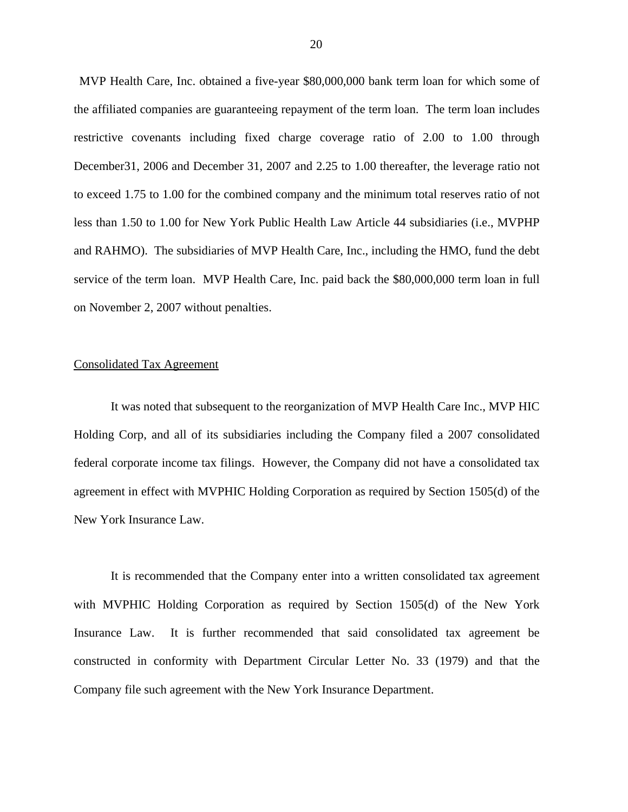MVP Health Care, Inc. obtained a five-year \$80,000,000 bank term loan for which some of the affiliated companies are guaranteeing repayment of the term loan. The term loan includes restrictive covenants including fixed charge coverage ratio of 2.00 to 1.00 through December31, 2006 and December 31, 2007 and 2.25 to 1.00 thereafter, the leverage ratio not to exceed 1.75 to 1.00 for the combined company and the minimum total reserves ratio of not less than 1.50 to 1.00 for New York Public Health Law Article 44 subsidiaries (i.e., MVPHP and RAHMO). The subsidiaries of MVP Health Care, Inc., including the HMO, fund the debt service of the term loan. MVP Health Care, Inc. paid back the \$80,000,000 term loan in full on November 2, 2007 without penalties.

#### Consolidated Tax Agreement

It was noted that subsequent to the reorganization of MVP Health Care Inc., MVP HIC Holding Corp, and all of its subsidiaries including the Company filed a 2007 consolidated federal corporate income tax filings. However, the Company did not have a consolidated tax agreement in effect with MVPHIC Holding Corporation as required by Section 1505(d) of the New York Insurance Law.

It is recommended that the Company enter into a written consolidated tax agreement with MVPHIC Holding Corporation as required by Section 1505(d) of the New York Insurance Law. It is further recommended that said consolidated tax agreement be constructed in conformity with Department Circular Letter No. 33 (1979) and that the Company file such agreement with the New York Insurance Department.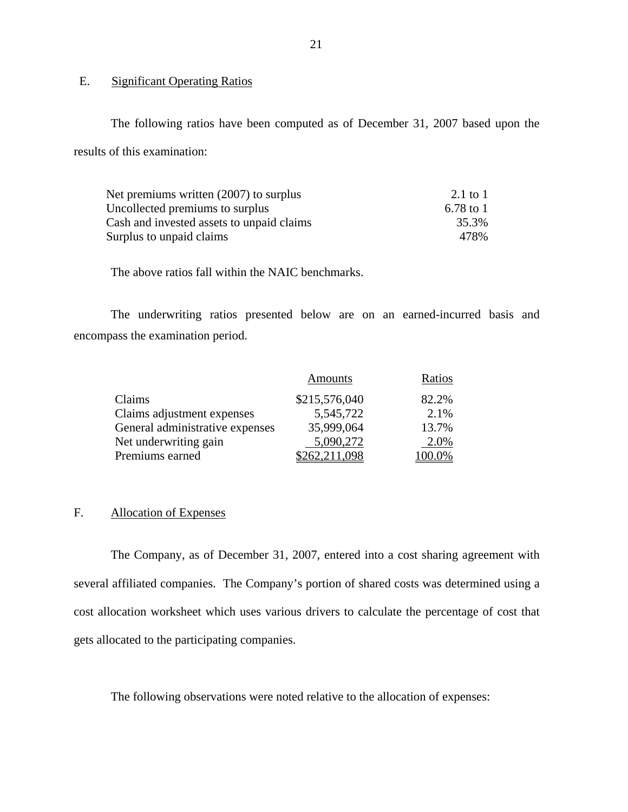# E. Significant Operating Ratios

The following ratios have been computed as of December 31, 2007 based upon the results of this examination:

| Net premiums written (2007) to surplus    | 2.1 to 1  |
|-------------------------------------------|-----------|
| Uncollected premiums to surplus           | 6.78 to 1 |
| Cash and invested assets to unpaid claims | 35.3%     |
| Surplus to unpaid claims                  | 478%      |

The above ratios fall within the NAIC benchmarks.

The underwriting ratios presented below are on an earned-incurred basis and encompass the examination period.

|                                 | Amounts       | Ratios |
|---------------------------------|---------------|--------|
| Claims                          | \$215,576,040 | 82.2%  |
| Claims adjustment expenses      | 5,545,722     | 2.1%   |
| General administrative expenses | 35,999,064    | 13.7%  |
| Net underwriting gain           | 5,090,272     | 2.0%   |
| Premiums earned                 | \$262,211,098 | 100.0% |

# F. Allocation of Expenses

The Company, as of December 31, 2007, entered into a cost sharing agreement with several affiliated companies. The Company's portion of shared costs was determined using a cost allocation worksheet which uses various drivers to calculate the percentage of cost that gets allocated to the participating companies.

The following observations were noted relative to the allocation of expenses: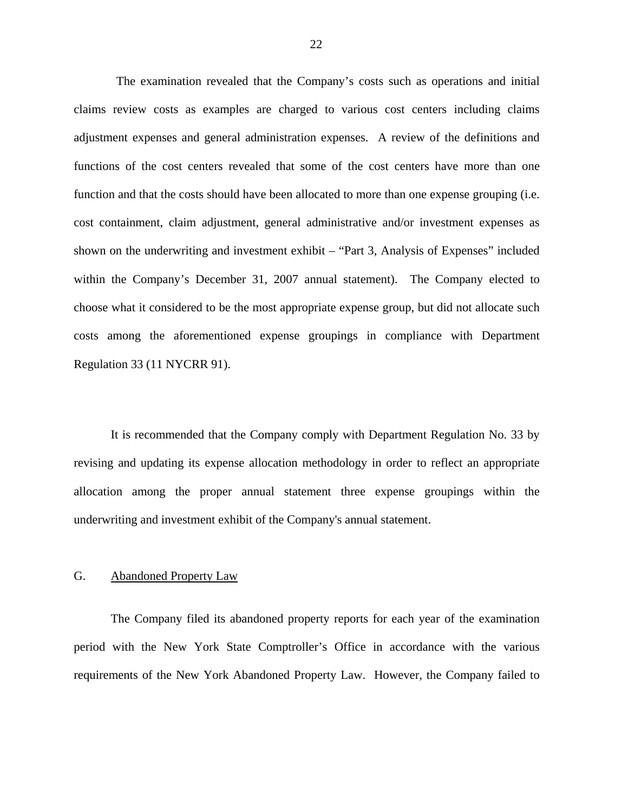<span id="page-23-0"></span>The examination revealed that the Company's costs such as operations and initial claims review costs as examples are charged to various cost centers including claims adjustment expenses and general administration expenses. A review of the definitions and functions of the cost centers revealed that some of the cost centers have more than one function and that the costs should have been allocated to more than one expense grouping (i.e. cost containment, claim adjustment, general administrative and/or investment expenses as shown on the underwriting and investment exhibit – "Part 3, Analysis of Expenses" included within the Company's December 31, 2007 annual statement). The Company elected to choose what it considered to be the most appropriate expense group, but did not allocate such costs among the aforementioned expense groupings in compliance with Department Regulation 33 (11 NYCRR 91).

It is recommended that the Company comply with Department Regulation No. 33 by revising and updating its expense allocation methodology in order to reflect an appropriate allocation among the proper annual statement three expense groupings within the underwriting and investment exhibit of the Company's annual statement.

# G. Abandoned Property Law

The Company filed its abandoned property reports for each year of the examination period with the New York State Comptroller's Office in accordance with the various requirements of the New York Abandoned Property Law. However, the Company failed to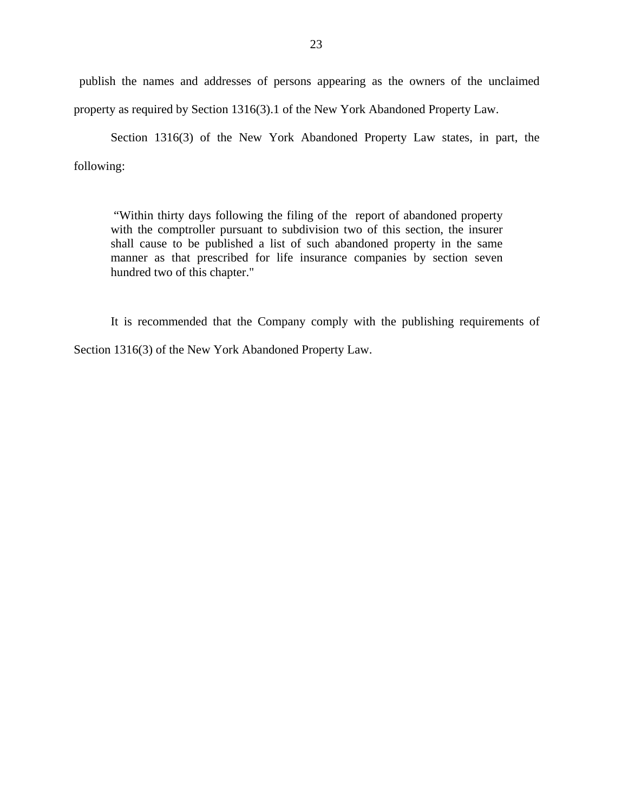publish the names and addresses of persons appearing as the owners of the unclaimed property as required by Section 1316(3).1 of the New York Abandoned Property Law.

Section 1316(3) of the New York Abandoned Property Law states, in part, the following:

"Within thirty days following the filing of the report of abandoned property with the comptroller pursuant to subdivision two of this section, the insurer shall cause to be published a list of such abandoned property in the same manner as that prescribed for life insurance companies by section seven hundred two of this chapter."

It is recommended that the Company comply with the publishing requirements of Section 1316(3) of the New York Abandoned Property Law.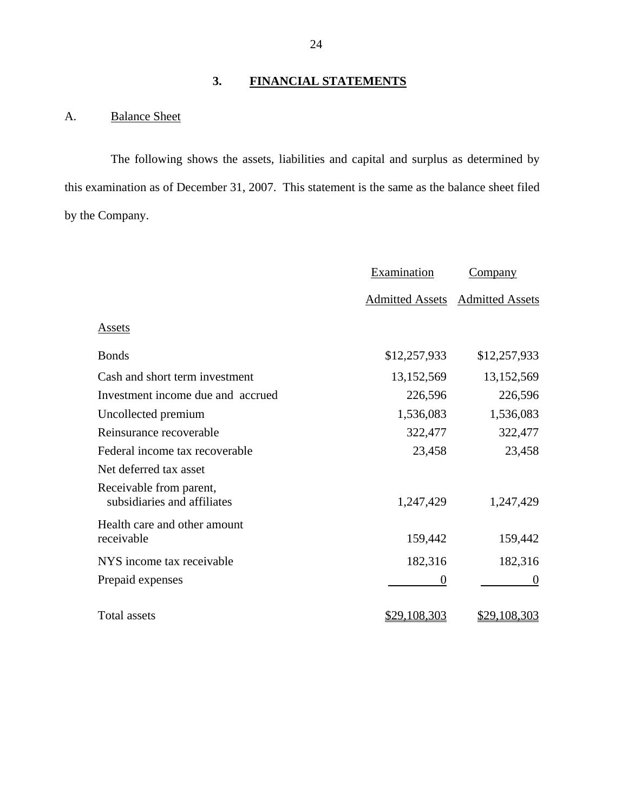# **3. FINANCIAL STATEMENTS**

# A. Balance Sheet

The following shows the assets, liabilities and capital and surplus as determined by this examination as of December 31, 2007. This statement is the same as the balance sheet filed by the Company.

|                                                        | Examination            | <b>Company</b>         |
|--------------------------------------------------------|------------------------|------------------------|
|                                                        | <b>Admitted Assets</b> | <b>Admitted Assets</b> |
| Assets                                                 |                        |                        |
| <b>Bonds</b>                                           | \$12,257,933           | \$12,257,933           |
| Cash and short term investment                         | 13,152,569             | 13,152,569             |
| Investment income due and accrued                      | 226,596                | 226,596                |
| Uncollected premium                                    | 1,536,083              | 1,536,083              |
| Reinsurance recoverable                                | 322,477                | 322,477                |
| Federal income tax recoverable                         | 23,458                 | 23,458                 |
| Net deferred tax asset                                 |                        |                        |
| Receivable from parent,<br>subsidiaries and affiliates | 1,247,429              | 1,247,429              |
| Health care and other amount<br>receivable             | 159,442                | 159,442                |
| NYS income tax receivable                              | 182,316                | 182,316                |
| Prepaid expenses                                       | $\overline{0}$         | $\overline{0}$         |
| <b>Total assets</b>                                    | \$29,108,303           | \$29,108,303           |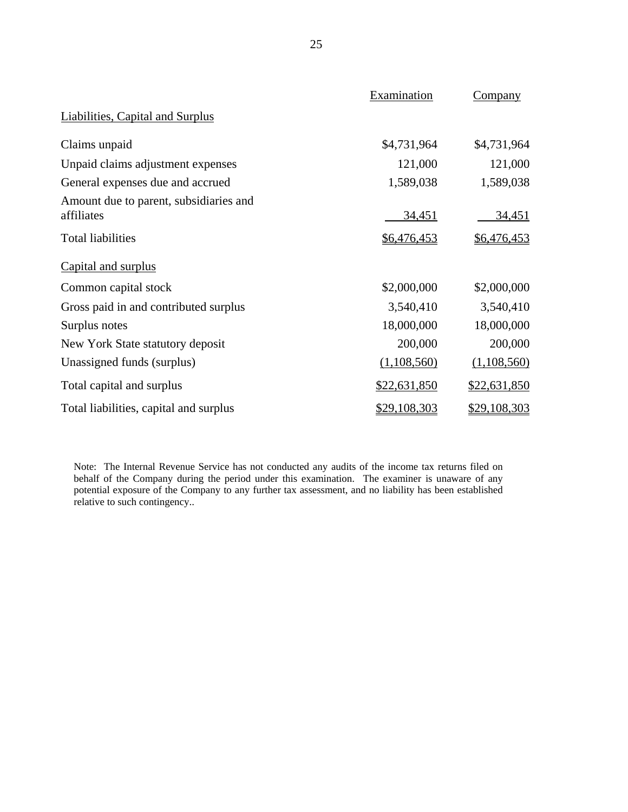|                                                      | Examination  | Company            |
|------------------------------------------------------|--------------|--------------------|
| <b>Liabilities, Capital and Surplus</b>              |              |                    |
| Claims unpaid                                        | \$4,731,964  | \$4,731,964        |
| Unpaid claims adjustment expenses                    | 121,000      | 121,000            |
| General expenses due and accrued                     | 1,589,038    | 1,589,038          |
| Amount due to parent, subsidiaries and<br>affiliates | 34,451       | <u>34,451</u>      |
| <b>Total liabilities</b>                             | \$6,476,453  | <u>\$6,476,453</u> |
| Capital and surplus                                  |              |                    |
| Common capital stock                                 | \$2,000,000  | \$2,000,000        |
| Gross paid in and contributed surplus                | 3,540,410    | 3,540,410          |
| Surplus notes                                        | 18,000,000   | 18,000,000         |
| New York State statutory deposit                     | 200,000      | 200,000            |
| Unassigned funds (surplus)                           | (1,108,560)  | (1,108,560)        |
| Total capital and surplus                            | \$22,631,850 | \$22,631,850       |
| Total liabilities, capital and surplus               | \$29,108,303 | \$29,108,303       |

 behalf of the Company during the period under this examination. The examiner is unaware of any Note: The Internal Revenue Service has not conducted any audits of the income tax returns filed on potential exposure of the Company to any further tax assessment, and no liability has been established relative to such contingency..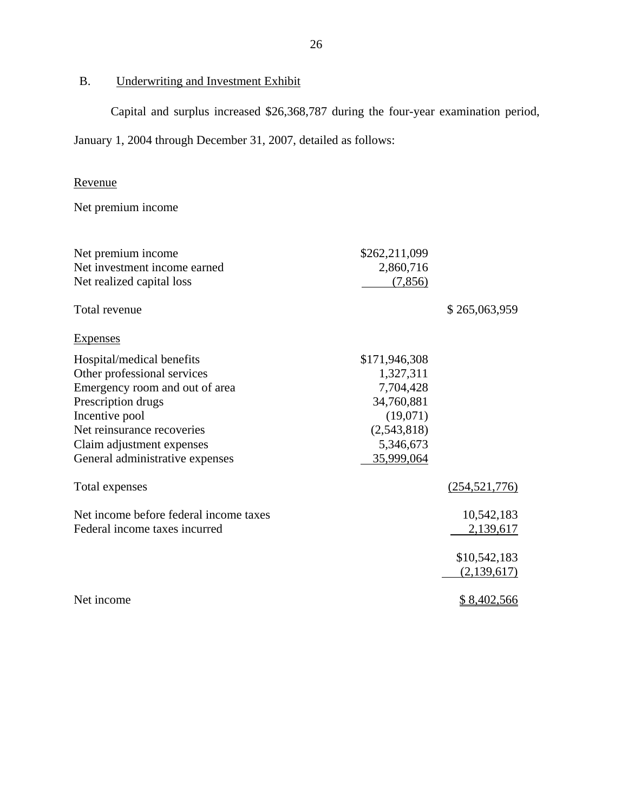# <span id="page-27-0"></span>B. Underwriting and Investment Exhibit

Capital and surplus increased \$26,368,787 during the four-year examination period,

January 1, 2004 through December 31, 2007, detailed as follows:

# Revenue

Net premium income

| Net premium income                     | \$262,211,099 |                 |
|----------------------------------------|---------------|-----------------|
| Net investment income earned           | 2,860,716     |                 |
| Net realized capital loss              | (7, 856)      |                 |
| Total revenue                          |               | \$265,063,959   |
| <b>Expenses</b>                        |               |                 |
| Hospital/medical benefits              | \$171,946,308 |                 |
| Other professional services            | 1,327,311     |                 |
| Emergency room and out of area         | 7,704,428     |                 |
| Prescription drugs                     | 34,760,881    |                 |
| Incentive pool                         | (19,071)      |                 |
| Net reinsurance recoveries             | (2,543,818)   |                 |
| Claim adjustment expenses              | 5,346,673     |                 |
| General administrative expenses        | 35,999,064    |                 |
| Total expenses                         |               | (254, 521, 776) |
| Net income before federal income taxes |               | 10,542,183      |
| Federal income taxes incurred          |               | 2,139,617       |
|                                        |               | \$10,542,183    |
|                                        |               | (2,139,617)     |
| Net income                             |               | \$8,402,566     |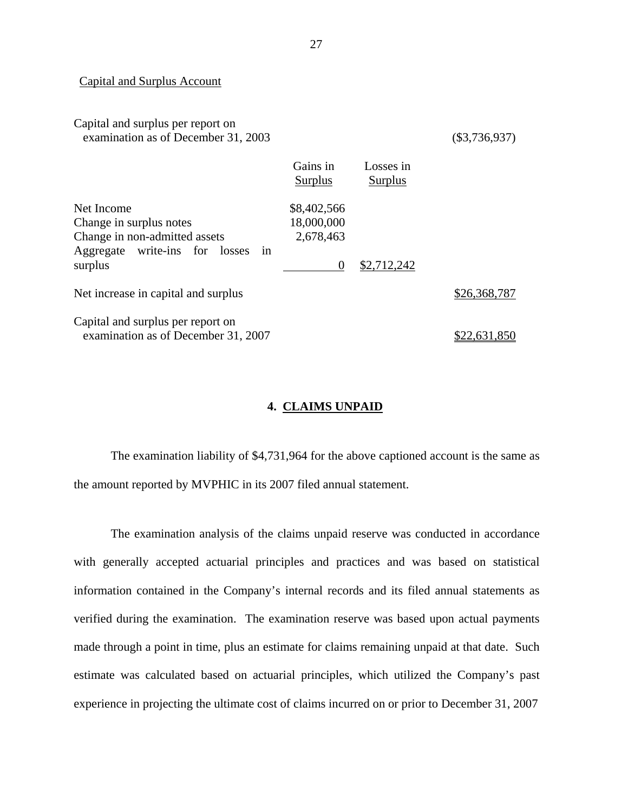#### Capital and Surplus Account

# Capital and surplus per report on examination as of December 31, 2003 (\$3,736,937)

|                                     | Gains in       | Losses in   |              |
|-------------------------------------|----------------|-------------|--------------|
|                                     | <b>Surplus</b> | Surplus     |              |
| Net Income                          | \$8,402,566    |             |              |
| Change in surplus notes             | 18,000,000     |             |              |
| Change in non-admitted assets       | 2,678,463      |             |              |
| Aggregate write-ins for losses in   |                |             |              |
| surplus                             | $\Omega$       | \$2,712,242 |              |
|                                     |                |             |              |
| Net increase in capital and surplus |                |             | \$26,368,787 |
|                                     |                |             |              |
| Capital and surplus per report on   |                |             |              |
| examination as of December 31, 2007 |                |             | 22,631,850   |

# **4. CLAIMS UNPAID**

The examination liability of \$4,731,964 for the above captioned account is the same as the amount reported by MVPHIC in its 2007 filed annual statement.

The examination analysis of the claims unpaid reserve was conducted in accordance with generally accepted actuarial principles and practices and was based on statistical information contained in the Company's internal records and its filed annual statements as verified during the examination. The examination reserve was based upon actual payments made through a point in time, plus an estimate for claims remaining unpaid at that date. Such estimate was calculated based on actuarial principles, which utilized the Company's past experience in projecting the ultimate cost of claims incurred on or prior to December 31, 2007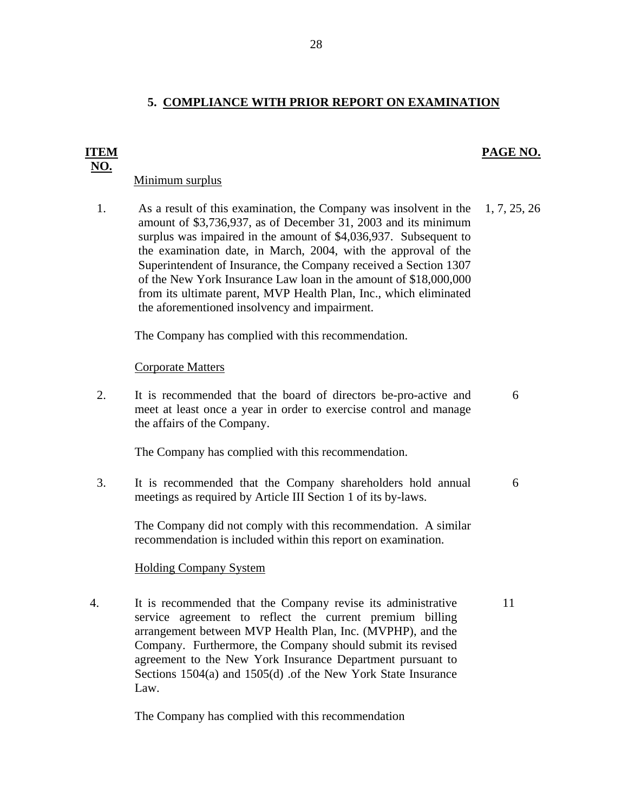# **5. COMPLIANCE WITH PRIOR REPORT ON EXAMINATION**

# **PAGE NO.**

# Minimum surplus

**ITEM NO.** 

> 1. As a result of this examination, the Company was insolvent in the amount of \$3,736,937, as of December 31, 2003 and its minimum surplus was impaired in the amount of \$4,036,937. Subsequent to the examination date, in March, 2004, with the approval of the Superintendent of Insurance, the Company received a Section 1307 of the New York Insurance Law loan in the amount of \$18,000,000 from its ultimate parent, MVP Health Plan, Inc., which eliminated the aforementioned insolvency and impairment. 1, 7, 25, 26

The Company has complied with this recommendation.

# Corporate Matters

2. It is recommended that the board of directors be-pro-active and meet at least once a year in order to exercise control and manage the affairs of the Company. 6

The Company has complied with this recommendation.

3. It is recommended that the Company shareholders hold annual meetings as required by Article III Section 1 of its by-laws. 6

The Company did not comply with this recommendation. A similar recommendation is included within this report on examination.

# **Holding Company System**

4. It is recommended that the Company revise its administrative service agreement to reflect the current premium billing arrangement between MVP Health Plan, Inc. (MVPHP), and the Company. Furthermore, the Company should submit its revised agreement to the New York Insurance Department pursuant to Sections 1504(a) and 1505(d) .of the New York State Insurance Law. 11

The Company has complied with this recommendation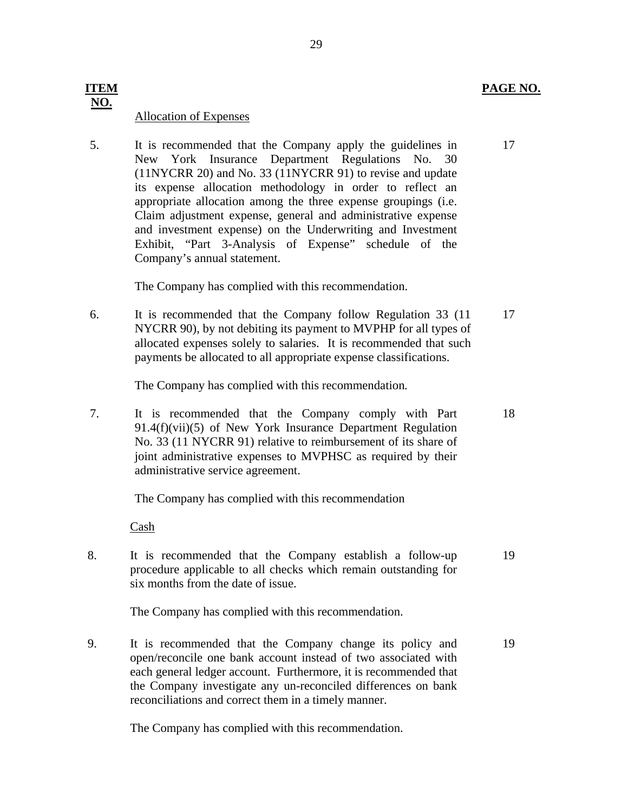# **NO.**

# Allocation of Expenses

5. It is recommended that the Company apply the guidelines in 17 New York Insurance Department Regulations No. 30 (11NYCRR 20) and No. 33 (11NYCRR 91) to revise and update its expense allocation methodology in order to reflect an appropriate allocation among the three expense groupings (i.e. Claim adjustment expense, general and administrative expense and investment expense) on the Underwriting and Investment Exhibit, "Part 3-Analysis of Expense" schedule of the Company's annual statement.

The Company has complied with this recommendation.

6. It is recommended that the Company follow Regulation 33 (11 17 NYCRR 90), by not debiting its payment to MVPHP for all types of allocated expenses solely to salaries. It is recommended that such payments be allocated to all appropriate expense classifications.

The Company has complied with this recommendation*.* 

7. It is recommended that the Company comply with Part 18 91.4(f)(vii)(5) of New York Insurance Department Regulation No. 33 (11 NYCRR 91) relative to reimbursement of its share of joint administrative expenses to MVPHSC as required by their administrative service agreement.

The Company has complied with this recommendation

Cash

8. It is recommended that the Company establish a follow-up 19 procedure applicable to all checks which remain outstanding for six months from the date of issue.

The Company has complied with this recommendation.

9. It is recommended that the Company change its policy and 19 open/reconcile one bank account instead of two associated with each general ledger account. Furthermore, it is recommended that the Company investigate any un-reconciled differences on bank reconciliations and correct them in a timely manner.

The Company has complied with this recommendation.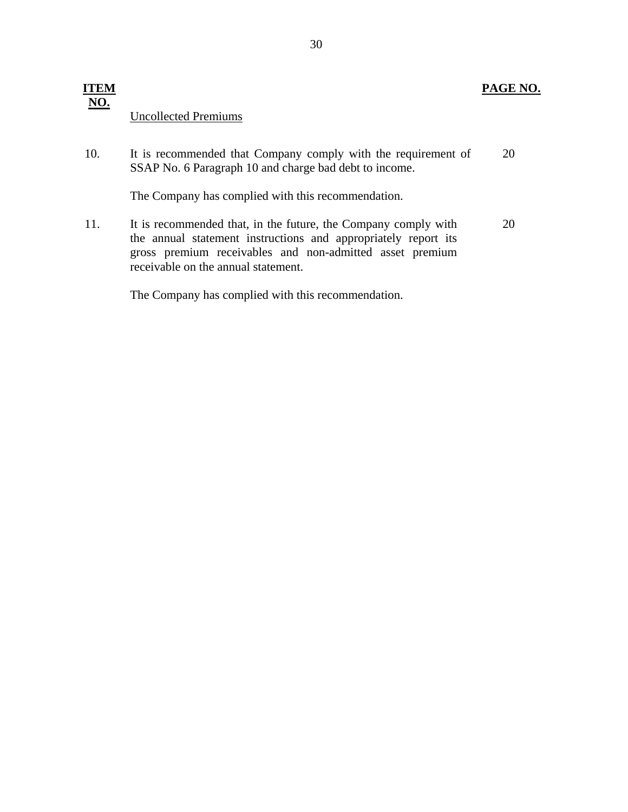# <span id="page-31-0"></span>**Uncollected Premiums ITEM NO.**

|     | <b>Uncollected Premiums</b>                                                                                             |    |
|-----|-------------------------------------------------------------------------------------------------------------------------|----|
| 10. | It is recommended that Company comply with the requirement of<br>SSAP No. 6 Paragraph 10 and charge bad debt to income. | 20 |

The Company has complied with this recommendation.

11. It is recommended that, in the future, the Company comply with the annual statement instructions and appropriately report its gross premium receivables and non-admitted asset premium receivable on the annual statement. 20

The Company has complied with this recommendation.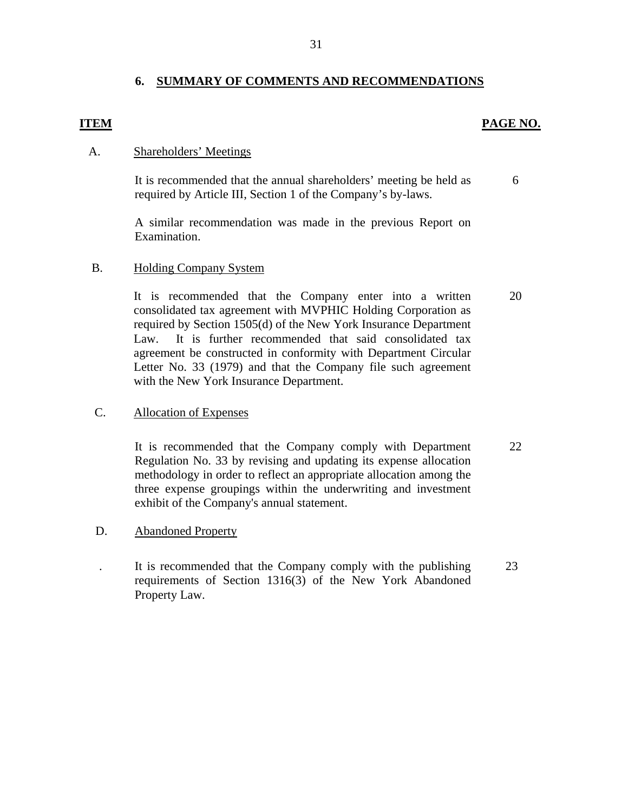# **6. SUMMARY OF COMMENTS AND RECOMMENDATIONS**

# **ITEM PAGE NO.**

# A. Shareholders' Meetings

It is recommended that the annual shareholders' meeting be held as required by Article III, Section 1 of the Company's by-laws. 6

A similar recommendation was made in the previous Report on Examination.

# B. Holding Company System

It is recommended that the Company enter into a written consolidated tax agreement with MVPHIC Holding Corporation as required by Section 1505(d) of the New York Insurance Department Law. It is further recommended that said consolidated tax agreement be constructed in conformity with Department Circular Letter No. 33 (1979) and that the Company file such agreement with the New York Insurance Department.

# **Allocation of Expenses**

C. Allocation of Expenses<br>It is recommended that the Company comply with Department Regulation No. 33 by revising and updating its expense allocation methodology in order to reflect an appropriate allocation among the three expense groupings within the underwriting and investment exhibit of the Company's annual statement. 22

# **Abandoned Property**

D. Abandoned Property<br>
1. It is recommended that the Company comply with the publishing requirements of Section 1316(3) of the New York Abandoned Property Law.

20